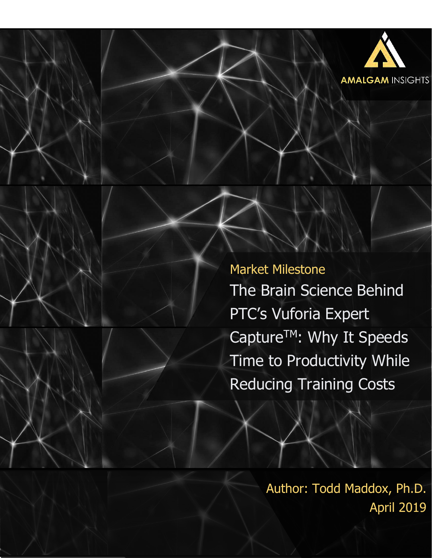

Market Milestone The Brain Science Behind PTC's Vuforia Expert Capture<sup>™</sup>: Why It Speeds Time to Productivity While Reducing Training Costs

> Author: Todd Maddox, Ph.D. April 2019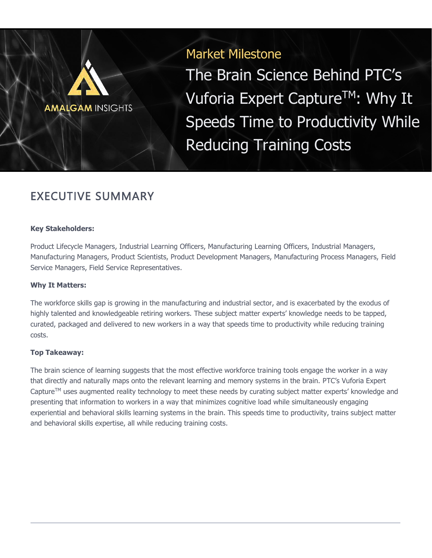# Market Milestone

The Brain Science Behind PTC's Vuforia Expert Capture<sup>TM</sup>: Why It Speeds Time to Productivity While Reducing Training Costs

# EXECUTIVE SUMMARY

**AMALGAM INSIGHTS** 

#### **Key Stakeholders:**

Product Lifecycle Managers, Industrial Learning Officers, Manufacturing Learning Officers, Industrial Managers, Manufacturing Managers, Product Scientists, Product Development Managers, Manufacturing Process Managers, Field Service Managers, Field Service Representatives.

#### **Why It Matters:**

The workforce skills gap is growing in the manufacturing and industrial sector, and is exacerbated by the exodus of highly talented and knowledgeable retiring workers. These subject matter experts' knowledge needs to be tapped, curated, packaged and delivered to new workers in a way that speeds time to productivity while reducing training costs.

### **Top Takeaway:**

The brain science of learning suggests that the most effective workforce training tools engage the worker in a way that directly and naturally maps onto the relevant learning and memory systems in the brain. PTC's Vuforia Expert Capture™ uses augmented reality technology to meet these needs by curating subject matter experts' knowledge and presenting that information to workers in a way that minimizes cognitive load while simultaneously engaging experiential and behavioral skills learning systems in the brain. This speeds time to productivity, trains subject matter and behavioral skills expertise, all while reducing training costs.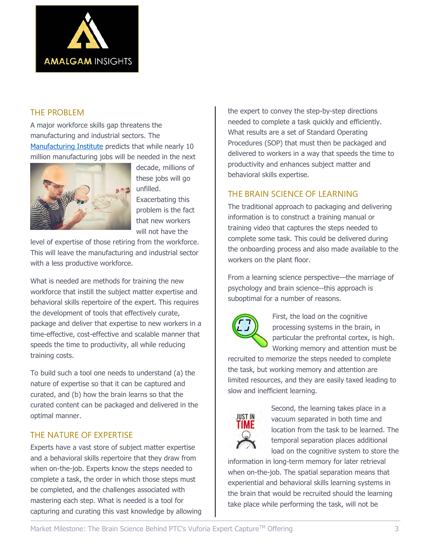

### THE PROBLEM

A major workforce skills gap threatens the manufacturing and industrial sectors. The [Manufacturing Institute](http://www.themanufacturinginstitute.org/) predicts that while nearly 10 million manufacturing jobs will be needed in the next



decade, millions of these jobs will go unfilled. Exacerbating this problem is the fact that new workers will not have the

level of expertise of those retiring from the workforce. This will leave the manufacturing and industrial sector with a less productive workforce.

What is needed are methods for training the new workforce that instill the subject matter expertise and behavioral skills repertoire of the expert. This requires the development of tools that effectively curate, package and deliver that expertise to new workers in a time-effective, cost-effective and scalable manner that speeds the time to productivity, all while reducing training costs.

To build such a tool one needs to understand (a) the nature of expertise so that it can be captured and curated, and (b) how the brain learns so that the curated content can be packaged and delivered in the optimal manner.

## THE NATURE OF EXPERTISE

Experts have a vast store of subject matter expertise and a behavioral skills repertoire that they draw from when on-the-job. Experts know the steps needed to complete a task, the order in which those steps must be completed, and the challenges associated with mastering each step. What is needed is a tool for capturing and curating this vast knowledge by allowing the expert to convey the step-by-step directions needed to complete a task quickly and efficiently. What results are a set of Standard Operating Procedures (SOP) that must then be packaged and delivered to workers in a way that speeds the time to productivity and enhances subject matter and behavioral skills expertise.

## THE BRAIN SCIENCE OF LEARNING

The traditional approach to packaging and delivering information is to construct a training manual or training video that captures the steps needed to complete some task. This could be delivered during the onboarding process and also made available to the workers on the plant floor.

From a learning science perspective—the marriage of psychology and brain science--this approach is suboptimal for a number of reasons.



First, the load on the cognitive processing systems in the brain, in particular the prefrontal cortex, is high. Working memory and attention must be

recruited to memorize the steps needed to complete the task, but working memory and attention are limited resources, and they are easily taxed leading to slow and inefficient learning.



Second, the learning takes place in a vacuum separated in both time and location from the task to be learned. The temporal separation places additional load on the cognitive system to store the

information in long-term memory for later retrieval when on-the-job. The spatial separation means that experiential and behavioral skills learning systems in the brain that would be recruited should the learning take place while performing the task, will not be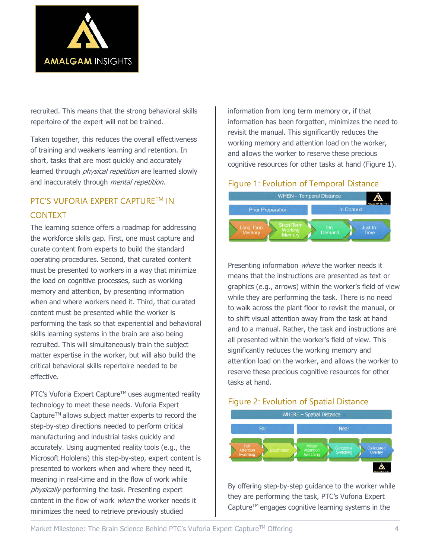

recruited. This means that the strong behavioral skills repertoire of the expert will not be trained.

Taken together, this reduces the overall effectiveness of training and weakens learning and retention. In short, tasks that are most quickly and accurately learned through *physical repetition* are learned slowly and inaccurately through *mental repetition*.

## PTC'S VUFORIA EXPERT CAPTURE™ IN CONTEXT

The learning science offers a roadmap for addressing the workforce skills gap. First, one must capture and curate content from experts to build the standard operating procedures. Second, that curated content must be presented to workers in a way that minimize the load on cognitive processes, such as working memory and attention, by presenting information when and where workers need it. Third, that curated content must be presented while the worker is performing the task so that experiential and behavioral skills learning systems in the brain are also being recruited. This will simultaneously train the subject matter expertise in the worker, but will also build the critical behavioral skills repertoire needed to be effective.

PTC's Vuforia Expert Capture™ uses augmented reality technology to meet these needs. Vuforia Expert Capture<sup>™</sup> allows subject matter experts to record the step-by-step directions needed to perform critical manufacturing and industrial tasks quickly and accurately. Using augmented reality tools (e.g., the Microsoft Hololens) this step-by-step, expert content is presented to workers when and where they need it, meaning in real-time and in the flow of work while physically performing the task. Presenting expert content in the flow of work *when* the worker needs it minimizes the need to retrieve previously studied

information from long term memory or, if that information has been forgotten, minimizes the need to revisit the manual. This significantly reduces the working memory and attention load on the worker, and allows the worker to reserve these precious cognitive resources for other tasks at hand (Figure 1).

### Figure 1: Evolution of Temporal Distance



Presenting information where the worker needs it means that the instructions are presented as text or graphics (e.g., arrows) within the worker's field of view while they are performing the task. There is no need to walk across the plant floor to revisit the manual, or to shift visual attention away from the task at hand and to a manual. Rather, the task and instructions are all presented within the worker's field of view. This significantly reduces the working memory and attention load on the worker, and allows the worker to reserve these precious cognitive resources for other tasks at hand.

### Figure 2: Evolution of Spatial Distance



By offering step-by-step guidance to the worker while they are performing the task, PTC's Vuforia Expert Capture<sup>TM</sup> engages cognitive learning systems in the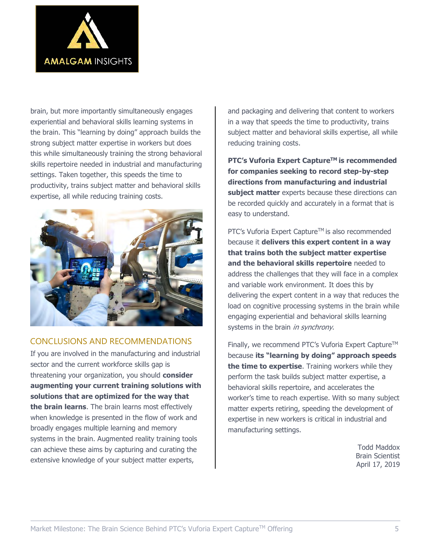

brain, but more importantly simultaneously engages experiential and behavioral skills learning systems in the brain. This "learning by doing" approach builds the strong subject matter expertise in workers but does this while simultaneously training the strong behavioral skills repertoire needed in industrial and manufacturing settings. Taken together, this speeds the time to productivity, trains subject matter and behavioral skills expertise, all while reducing training costs.



### CONCLUSIONS AND RECOMMENDATIONS

If you are involved in the manufacturing and industrial sector and the current workforce skills gap is threatening your organization, you should **consider augmenting your current training solutions with solutions that are optimized for the way that the brain learns**. The brain learns most effectively when knowledge is presented in the flow of work and broadly engages multiple learning and memory systems in the brain. Augmented reality training tools can achieve these aims by capturing and curating the extensive knowledge of your subject matter experts,

and packaging and delivering that content to workers in a way that speeds the time to productivity, trains subject matter and behavioral skills expertise, all while reducing training costs.

**PTC's Vuforia Expert CaptureTM is recommended for companies seeking to record step-by-step directions from manufacturing and industrial subject matter** experts because these directions can be recorded quickly and accurately in a format that is easy to understand.

PTC's Vuforia Expert Capture™ is also recommended because it **delivers this expert content in a way that trains both the subject matter expertise and the behavioral skills repertoire** needed to address the challenges that they will face in a complex and variable work environment. It does this by delivering the expert content in a way that reduces the load on cognitive processing systems in the brain while engaging experiential and behavioral skills learning systems in the brain in synchrony.

Finally, we recommend PTC's Vuforia Expert Capture™ because **its "learning by doing" approach speeds the time to expertise**. Training workers while they perform the task builds subject matter expertise, a behavioral skills repertoire, and accelerates the worker's time to reach expertise. With so many subject matter experts retiring, speeding the development of expertise in new workers is critical in industrial and manufacturing settings.

> Todd Maddox Brain Scientist April 17, 2019